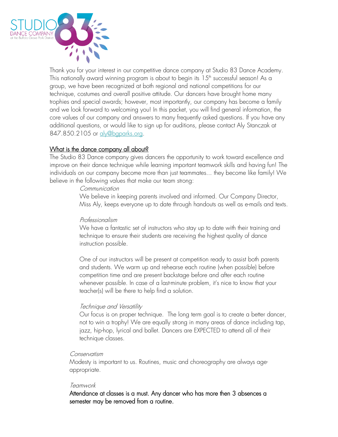

Thank you for your interest in our competitive dance company at Studio 83 Dance Academy. This nationally award winning program is about to begin its  $15^{\text{\tiny th}}$  successful season! As a group, we have been recognized at both regional and national competitions for our technique, costumes and overall positive attitude. Our dancers have brought home many trophies and special awards; however, most importantly, our company has become a family and we look forward to welcoming you! In this packet, you will find general information, the core values of our company and answers to many frequently asked questions. If you have any additional questions, or would like to sign up for auditions, please contact Aly Stanczak at 847.850.2105 or aly@baparks.org.

### What is the dance company all about?

The Studio 83 Dance company gives dancers the opportunity to work toward excellence and improve on their dance technique while learning important teamwork skills and having fun! The individuals on our company become more than just teammates... they become like family! We believe in the following values that make our team strong:

#### Communication

We believe in keeping parents involved and informed. Our Company Director, Miss Aly, keeps everyone up to date through handouts as well as e-mails and texts.

### Professionalism

We have a fantastic set of instructors who stay up to date with their training and technique to ensure their students are receiving the highest quality of dance instruction possible.

One of our instructors will be present at competition ready to assist both parents and students. We warm up and rehearse each routine (when possible) before competition time and are present backstage before and after each routine whenever possible. In case of a last-minute problem, it's nice to know that your teacher(s) will be there to help find a solution.

### Technique and Versatility

Our focus is on proper technique. The long term goal is to create a better dancer, not to win a trophy! We are equally strong in many areas of dance including tap, jazz, hip-hop, lyrical and ballet. Dancers are EXPECTED to attend all of their technique classes.

#### Conservatism

Modesty is important to us. Routines, music and choreography are always ageappropriate.

#### **Teamwork**

Attendance at classes is a must. Any dancer who has more then 3 absences a semester may be removed from a routine.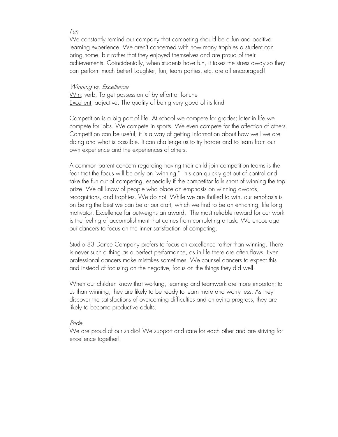#### Fun

We constantly remind our company that competing should be a fun and positive learning experience. We aren't concerned with how many trophies a student can bring home, but rather that they enjoyed themselves and are proud of their achievements. Coincidentally, when students have fun, it takes the stress away so they can perform much better! Laughter, fun, team parties, etc. are all encouraged!

#### Winning *vs.* Excellence

Win; verb, To get possession of by effort or fortune Excellent; adjective, The quality of being very good of its kind

Competition is a big part of life. At school we compete for grades; later in life we compete for jobs. We compete in sports. We even compete for the affection of others. Competition can be useful; it is a way of getting information about how well we are doing and what is possible. It can challenge us to try harder and to learn from our own experience and the experiences of others.

A common parent concern regarding having their child join competition teams is the fear that the focus will be only on "winning." This can quickly get out of control and take the fun out of competing, especially if the competitor falls short of winning the top prize. We all know of people who place an emphasis on winning awards, recognitions, and trophies. We do not. While we are thrilled to win, our emphasis is on being the best we can be at our craft, which we find to be an enriching, life long motivator. Excellence far outweighs an award. The most reliable reward for our work is the feeling of accomplishment that comes from completing a task. We encourage our dancers to focus on the inner satisfaction of competing.

Studio 83 Dance Company prefers to focus on excellence rather than winning. There is never such a thing as a perfect performance, as in life there are often flaws. Even professional dancers make mistakes sometimes. We counsel dancers to expect this and instead of focusing on the negative, focus on the things they did well.

When our children know that working, learning and teamwork are more important to us than winning, they are likely to be ready to learn more and worry less. As they discover the satisfactions of overcoming difficulties and enjoying progress, they are likely to become productive adults.

#### Pride

We are proud of our studio! We support and care for each other and are striving for excellence together!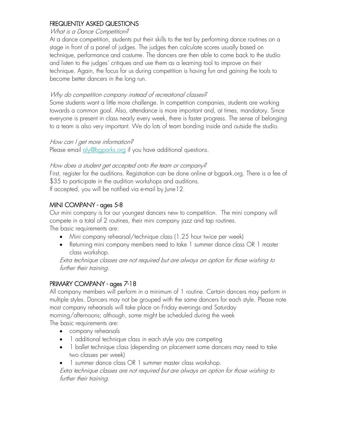# FREQUENTLY ASKED QUESTIONS

#### What is a Dance Competition?

At a dance competition, students put their skills to the test by performing dance routines on a stage in front of a panel of judges. The judges then calculate scores usually based on technique, performance and costume. The dancers are then able to come back to the studio and listen to the judges' critiques and use them as a learning tool to improve on their technique. Again, the focus for us during competition is having fun and gaining the tools to become better dancers in the long run.

### Why do competition company instead of recreational classes?

Some students want a little more challenge. In competition companies, students are working towards a common goal. Also, attendance is more important and, at times, mandatory. Since everyone is present in class nearly every week, there is faster progress. The sense of belonging to a team is also very important. We do lots of team bonding inside and outside the studio.

### How can I get more information?

Please email [aly@bgparks.org](mailto:aly@bgparks.org) if you have additional questions.

### How does a student get accepted onto the team or company?

First, register for the auditions. Registration can be done online at bgpark.org. There is a fee of \$35 to participate in the audition workshops and auditions.

If accepted, you will be notified via e-mail by June12.

# MINI COMPANY - ages 5-8

Our mini company is for our youngest dancers new to competition. The mini company will compete in a total of 2 routines, their mini company jazz and tap routines.

The basic requirements are:

- Mini company rehearsal/technique class (1.25 hour twice per week)
- Returning mini company members need to take 1 summer dance class OR 1 master class workshop.

Extra technique classes are not required but are always an option for those wishing to further their training.

# PRIMARY COMPANY - ages 7-18

All company members will perform in a minimum of 1 routine. Certain dancers may perform in multiple styles. Dancers may not be grouped with the same dancers for each style. Please note most company rehearsals will take place on Friday evenings and Saturday morning/afternoons; although, some might be scheduled during the week The basic requirements are:

- company rehearsals
- 1 additional technique class in each style you are competing
- 1 ballet technique class (depending on placement some dancers may need to take two classes per week)
- 1 summer dance class OR 1 summer master class workshop.

Extra technique classes are not required but are always an option for those wishing to further their training.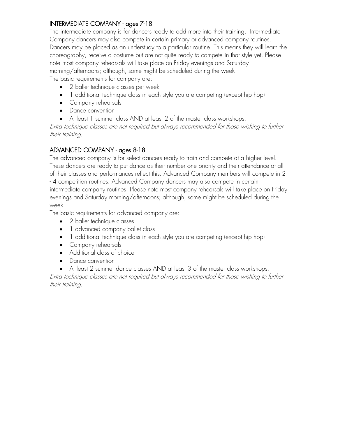# INTERMEDIATE COMPANY - ages 7-18

The intermediate company is for dancers ready to add more into their training. Intermediate Company dancers may also compete in certain primary or advanced company routines. Dancers may be placed as an understudy to a particular routine. This means they will learn the choreography, receive a costume but are not quite ready to compete in that style yet. Please note most company rehearsals will take place on Friday evenings and Saturday morning/afternoons; although, some might be scheduled during the week The basic requirements for company are:

- 2 ballet technique classes per week
- 1 additional technique class in each style you are competing (except hip hop)
- Company rehearsals
- Dance convention
- At least 1 summer class AND at least 2 of the master class workshops.

Extra technique classes are not required but always recommended for those wishing to further their training.

# ADVANCED COMPANY - ages 8-18

The advanced company is for select dancers ready to train and compete at a higher level. These dancers are ready to put dance as their number one priority and their attendance at all of their classes and performances reflect this. Advanced Company members will compete in 2 - 4 competition routines. Advanced Company dancers may also compete in certain intermediate company routines. Please note most company rehearsals will take place on Friday evenings and Saturday morning/afternoons; although, some might be scheduled during the week

The basic requirements for advanced company are:

- 2 ballet technique classes
- 1 advanced company ballet class
- 1 additional technique class in each style you are competing (except hip hop)
- Company rehearsals
- Additional class of choice
- Dance convention
- At least 2 summer dance classes AND at least 3 of the master class workshops.

Extra technique classes are not required but always recommended for those wishing to further their training.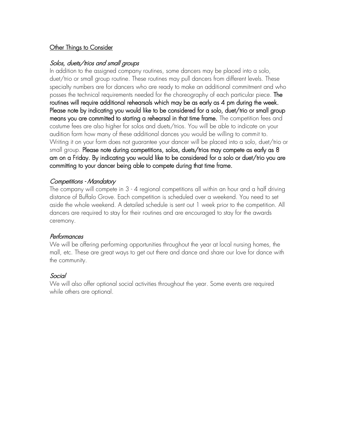# Other Things to Consider

### Solos, duets/trios and small groups

In addition to the assigned company routines, some dancers may be placed into a solo, duet/trio or small group routine. These routines may pull dancers from different levels. These specialty numbers are for dancers who are ready to make an additional commitment and who posses the technical requirements needed for the choreography of each particular piece. The routines will require additional rehearsals which may be as early as 4 pm during the week. Please note by indicating you would like to be considered for a solo, duet/trio or small group means you are committed to starting a rehearsal in that time frame. The competition fees and costume fees are also higher for solos and duets/trios. You will be able to indicate on your audition form how many of these additional dances you would be willing to commit to. Writing it on your form does not guarantee your dancer will be placed into a solo, duet/trio or small group. Please note during competitions, solos, duets/trios may compete as early as 8 am on a Friday. By indicating you would like to be considered for a solo or duet/trio you are committing to your dancer being able to compete during that time frame.

### Competitions - Mandatory

The company will compete in 3 - 4 regional competitions all within an hour and a half driving distance of Buffalo Grove. Each competition is scheduled over a weekend. You need to set aside the whole weekend. A detailed schedule is sent out 1 week prior to the competition. All dancers are required to stay for their routines and are encouraged to stay for the awards ceremony.

### Performances

We will be offering performing opportunities throughout the year at local nursing homes, the mall, etc. These are great ways to get out there and dance and share our love for dance with the community.

## Social

We will also offer optional social activities throughout the year. Some events are required while others are optional.